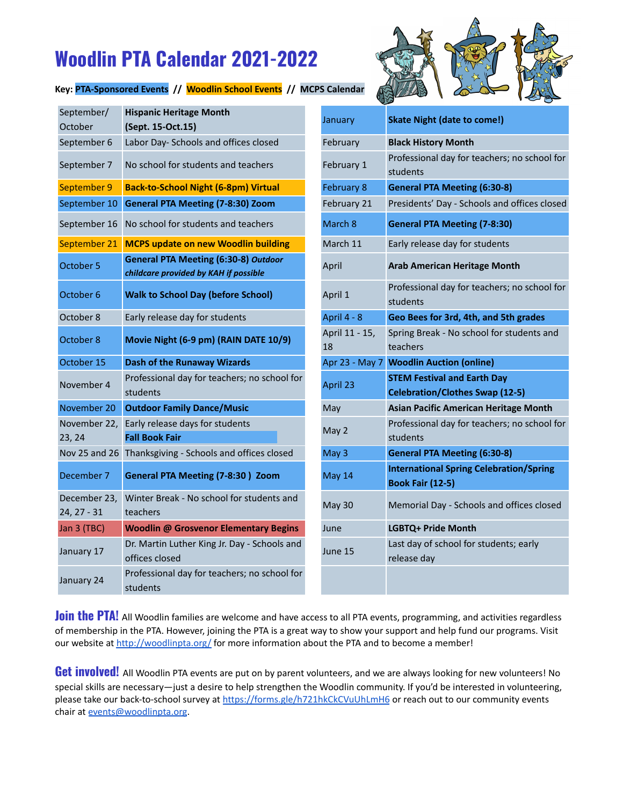## **Woodlin PTA Calendar 2021-2022**

## **Key: PTA-Sponsored Events // Woodlin School Events // MCPS Calendar**



| September/<br>October         | <b>Hispanic Heritage Month</b><br>(Sept. 15-Oct.15)                                  | January              | <b>Skate Night (date to come!)</b>                                           |
|-------------------------------|--------------------------------------------------------------------------------------|----------------------|------------------------------------------------------------------------------|
| September 6                   | Labor Day- Schools and offices closed                                                | February             | <b>Black History Month</b>                                                   |
| September 7                   | No school for students and teachers                                                  | February 1           | Professional day for teachers; no school for<br>students                     |
| September 9                   | <b>Back-to-School Night (6-8pm) Virtual</b>                                          | <b>February 8</b>    | <b>General PTA Meeting (6:30-8)</b>                                          |
| September 10                  | <b>General PTA Meeting (7-8:30) Zoom</b>                                             | February 21          | Presidents' Day - Schools and offices closed                                 |
| September 16                  | No school for students and teachers                                                  | March 8              | <b>General PTA Meeting (7-8:30)</b>                                          |
| September 21                  | <b>MCPS update on new Woodlin building</b>                                           | March 11             | Early release day for students                                               |
| October 5                     | <b>General PTA Meeting (6:30-8) Outdoor</b><br>childcare provided by KAH if possible | April                | <b>Arab American Heritage Month</b>                                          |
| October 6                     | <b>Walk to School Day (before School)</b>                                            | April 1              | Professional day for teachers; no school for<br>students                     |
| October 8                     | Early release day for students                                                       | April 4 - 8          | Geo Bees for 3rd, 4th, and 5th grades                                        |
| October 8                     | Movie Night (6-9 pm) (RAIN DATE 10/9)                                                | April 11 - 15,<br>18 | Spring Break - No school for students and<br>teachers                        |
| October 15                    | <b>Dash of the Runaway Wizards</b>                                                   | Apr 23 - May 7       | <b>Woodlin Auction (online)</b>                                              |
| November 4                    | Professional day for teachers; no school for<br>students                             | April 23             | <b>STEM Festival and Earth Day</b><br><b>Celebration/Clothes Swap (12-5)</b> |
| November 20                   | <b>Outdoor Family Dance/Music</b>                                                    | May                  | <b>Asian Pacific American Heritage Month</b>                                 |
| November 22,<br>23, 24        | Early release days for students<br><b>Fall Book Fair</b>                             | May 2                | Professional day for teachers; no school for<br>students                     |
|                               | Nov 25 and 26 Thanksgiving - Schools and offices closed                              | May 3                | <b>General PTA Meeting (6:30-8)</b>                                          |
| December 7                    | <b>General PTA Meeting (7-8:30) Zoom</b>                                             | May 14               | <b>International Spring Celebration/Spring</b><br><b>Book Fair (12-5)</b>    |
| December 23,<br>$24, 27 - 31$ | Winter Break - No school for students and<br>teachers                                | May 30               | Memorial Day - Schools and offices closed                                    |
| Jan 3 (TBC)                   | <b>Woodlin @ Grosvenor Elementary Begins</b>                                         | June                 | LGBTQ+ Pride Month                                                           |
| January 17                    | Dr. Martin Luther King Jr. Day - Schools and<br>offices closed                       | June 15              | Last day of school for students; early<br>release day                        |
| January 24                    | Professional day for teachers; no school for<br>students                             |                      |                                                                              |

| January        | <b>Skate Night (date to come!)</b>                                           |  |  |
|----------------|------------------------------------------------------------------------------|--|--|
| February       | <b>Black History Month</b>                                                   |  |  |
| February 1     | Professional day for teachers; no school for<br>students                     |  |  |
| February 8     | <b>General PTA Meeting (6:30-8)</b>                                          |  |  |
| February 21    | Presidents' Day - Schools and offices closed                                 |  |  |
| March 8        | <b>General PTA Meeting (7-8:30)</b>                                          |  |  |
| March 11       | Early release day for students                                               |  |  |
| April          | <b>Arab American Heritage Month</b>                                          |  |  |
| April 1        | Professional day for teachers; no school for<br>students                     |  |  |
| April 4 - 8    | Geo Bees for 3rd, 4th, and 5th grades                                        |  |  |
| April 11 - 15, | Spring Break - No school for students and                                    |  |  |
| 18             | teachers                                                                     |  |  |
| Apr 23 - May 7 | <b>Woodlin Auction (online)</b>                                              |  |  |
| April 23       | <b>STEM Festival and Earth Day</b><br><b>Celebration/Clothes Swap (12-5)</b> |  |  |
| May            | <b>Asian Pacific American Heritage Month</b>                                 |  |  |
| May 2          | Professional day for teachers; no school for                                 |  |  |
|                | students                                                                     |  |  |
| May 3          | <b>General PTA Meeting (6:30-8)</b>                                          |  |  |
| May 14         | <b>International Spring Celebration/Spring</b><br><b>Book Fair (12-5)</b>    |  |  |
| <b>May 30</b>  | Memorial Day - Schools and offices closed                                    |  |  |
| June           | LGBTQ+ Pride Month                                                           |  |  |
| June 15        | Last day of school for students; early<br>release day                        |  |  |

**Join the PTA!** All Woodlin families are welcome and have access to all PTA events, programming, and activities regardless of membership in the PTA. However, joining the PTA is a great way to show your support and help fund our programs. Visit our website at <http://woodlinpta.org/> for more information about the PTA and to become a member!

**Get involved!** All Woodlin PTA events are put on by parent volunteers, and we are always looking for new volunteers! No special skills are necessary—just a desire to help strengthen the Woodlin community. If you'd be interested in volunteering, please take our back-to-school survey at <https://forms.gle/h721hkCkCVuUhLmH6> or reach out to our community events chair at [events@woodlinpta.org](mailto:events@woodlinpta.org).